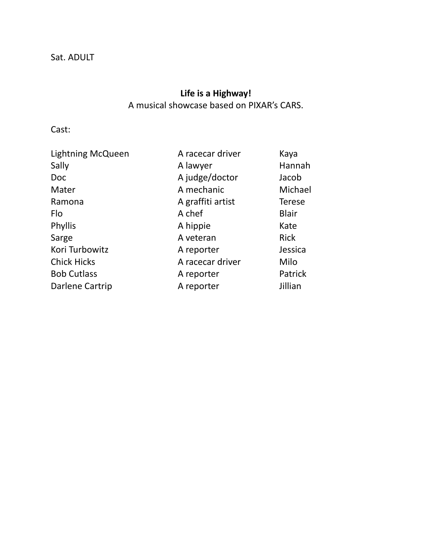# **Life is a Highway!** A musical showcase based on PIXAR's CARS.

Cast:

| <b>Lightning McQueen</b> | A racecar driver  | Kaya          |
|--------------------------|-------------------|---------------|
| Sally                    | A lawyer          | Hannah        |
| Doc                      | A judge/doctor    | Jacob         |
| Mater                    | A mechanic        | Michael       |
| Ramona                   | A graffiti artist | <b>Terese</b> |
| Flo                      | A chef            | <b>Blair</b>  |
| Phyllis                  | A hippie          | Kate          |
| Sarge                    | A veteran         | <b>Rick</b>   |
| Kori Turbowitz           | A reporter        | Jessica       |
| <b>Chick Hicks</b>       | A racecar driver  | Milo          |
| <b>Bob Cutlass</b>       | A reporter        | Patrick       |
| Darlene Cartrip          | A reporter        | Jillian       |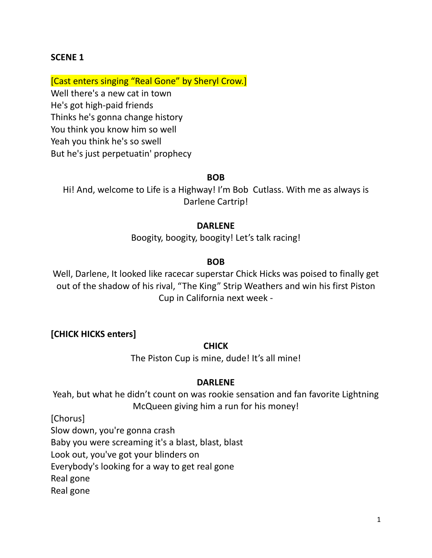#### **SCENE 1**

[Cast enters singing "Real Gone" by Sheryl Crow.]

Well there's a new cat in town He's got high-paid friends Thinks he's gonna change history You think you know him so well Yeah you think he's so swell

But he's just perpetuatin' prophecy

#### **BOB**

Hi! And, welcome to Life is a Highway! I'm Bob Cutlass. With me as always is Darlene Cartrip!

#### **DARLENE**

Boogity, boogity, boogity! Let's talk racing!

#### **BOB**

Well, Darlene, It looked like racecar superstar Chick Hicks was poised to finally get out of the shadow of his rival, "The King" Strip Weathers and win his first Piston Cup in California next week -

#### **[CHICK HICKS enters]**

#### **CHICK**

The Piston Cup is mine, dude! It's all mine!

#### **DARLENE**

Yeah, but what he didn't count on was rookie sensation and fan favorite Lightning McQueen giving him a run for his money!

[Chorus]

Slow down, you're gonna crash

Baby you were screaming it's a blast, blast, blast

Look out, you've got your blinders on

Everybody's looking for a way to get real gone

Real gone

Real gone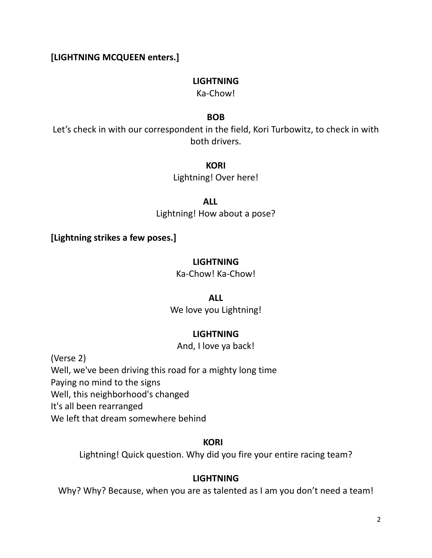## **[LIGHTNING MCQUEEN enters.]**

#### **LIGHTNING**

Ka-Chow!

#### **BOB**

Let's check in with our correspondent in the field, Kori Turbowitz, to check in with both drivers.

#### **KORI**

Lightning! Over here!

#### **ALL**

Lightning! How about a pose?

## **[Lightning strikes a few poses.]**

## **LIGHTNING**

Ka-Chow! Ka-Chow!

## **ALL**

We love you Lightning!

# **LIGHTNING**

And, I love ya back!

(Verse 2)

Well, we've been driving this road for a mighty long time

Paying no mind to the signs

Well, this neighborhood's changed

It's all been rearranged

We left that dream somewhere behind

## **KORI**

Lightning! Quick question. Why did you fire your entire racing team?

# **LIGHTNING**

Why? Why? Because, when you are as talented as I am you don't need a team!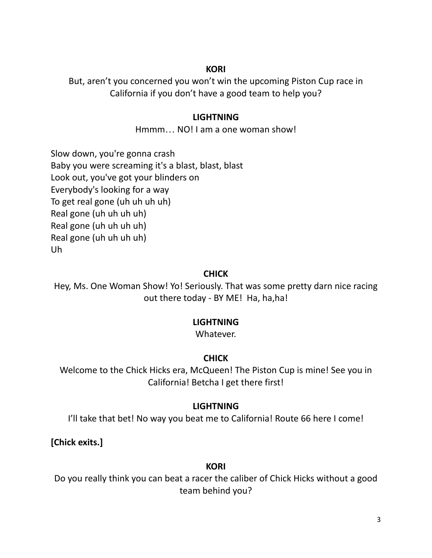## **KORI**

But, aren't you concerned you won't win the upcoming Piston Cup race in California if you don't have a good team to help you?

## **LIGHTNING**

Hmmm… NO! I am a one woman show!

Slow down, you're gonna crash Baby you were screaming it's a blast, blast, blast Look out, you've got your blinders on Everybody's looking for a way To get real gone (uh uh uh uh) Real gone (uh uh uh uh) Real gone (uh uh uh uh) Real gone (uh uh uh uh) Uh

#### **CHICK**

Hey, Ms. One Woman Show! Yo! Seriously. That was some pretty darn nice racing out there today - BY ME! Ha, ha,ha!

## **LIGHTNING**

Whatever.

## **CHICK**

Welcome to the Chick Hicks era, McQueen! The Piston Cup is mine! See you in California! Betcha I get there first!

## **LIGHTNING**

I'll take that bet! No way you beat me to California! Route 66 here I come!

**[Chick exits.]**

## **KORI**

Do you really think you can beat a racer the caliber of Chick Hicks without a good team behind you?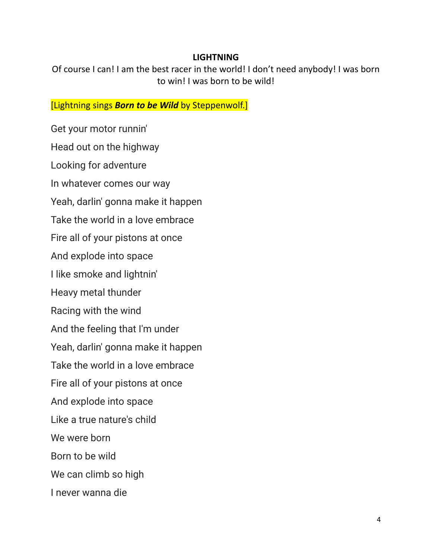#### **LIGHTNING**

Of course I can! I am the best racer in the world! I don't need anybody! I was born to win! I was born to be wild!

[Lightning sings *Born to be Wild* by Steppenwolf.]

Get your motor runnin' Head out on the highway Looking for adventure In whatever comes our way Yeah, darlin' gonna make it happen Take the world in a love embrace Fire all of your pistons at once And explode into space I like smoke and lightnin' Heavy metal thunder Racing with the wind And the feeling that I'm under Yeah, darlin' gonna make it happen Take the world in a love embrace Fire all of your pistons at once And explode into space Like a true nature's child We were born Born to be wild We can climb so high I never wanna die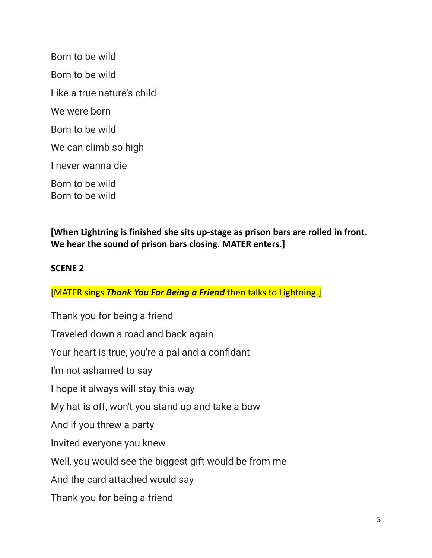Born to be wild Born to be wild Like a true nature's child We were born Born to be wild We can climb so high I never wanna die Born to be wild Born to be wild

**[When Lightning is finished she sits up-stage as prison bars are rolled in front. We hear the sound of prison bars closing. MATER enters.]**

## **SCENE 2**

[MATER sings *Thank You For Being a Friend* then talks to Lightning.]

Thank you for being a friend Traveled down a road and back again Your heart is true, you're a pal and a confidant I'm not ashamed to say I hope it always will stay this way My hat is off, won't you stand up and take a bow And if you threw a party Invited everyone you knew Well, you would see the biggest gift would be from me And the card attached would say Thank you for being a friend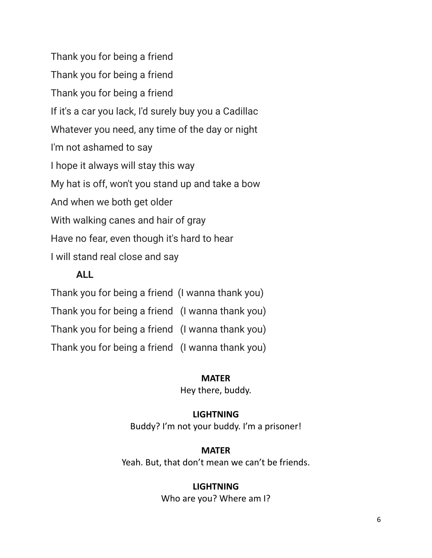Thank you for being a friend Thank you for being a friend Thank you for being a friend If it's a car you lack, I'd surely buy you a Cadillac Whatever you need, any time of the day or night I'm not ashamed to say I hope it always will stay this way My hat is off, won't you stand up and take a bow And when we both get older With walking canes and hair of gray Have no fear, even though it's hard to hear I will stand real close and say

# **ALL**

Thank you for being a friend (I wanna thank you) Thank you for being a friend (I wanna thank you) Thank you for being a friend (I wanna thank you) Thank you for being a friend (I wanna thank you)

#### **MATER**

Hey there, buddy.

## **LIGHTNING**

Buddy? I'm not your buddy. I'm a prisoner!

## **MATER**

Yeah. But, that don't mean we can't be friends.

## **LIGHTNING**

Who are you? Where am I?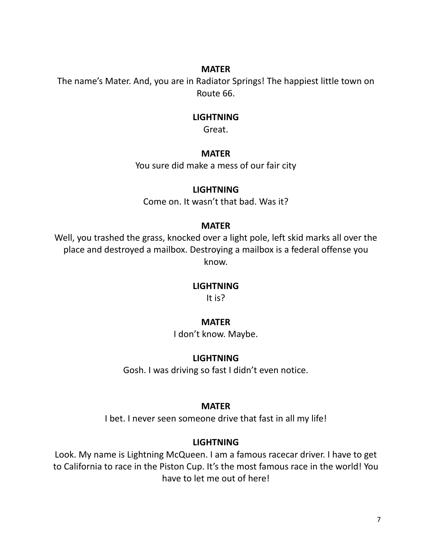#### **MATER**

The name's Mater. And, you are in Radiator Springs! The happiest little town on Route 66.

#### **LIGHTNING**

Great.

#### **MATER**

You sure did make a mess of our fair city

#### **LIGHTNING**

Come on. It wasn't that bad. Was it?

#### **MATER**

Well, you trashed the grass, knocked over a light pole, left skid marks all over the place and destroyed a mailbox. Destroying a mailbox is a federal offense you know.

#### **LIGHTNING**

It is?

#### **MATER**

I don't know. Maybe.

## **LIGHTNING**

Gosh. I was driving so fast I didn't even notice.

#### **MATER**

I bet. I never seen someone drive that fast in all my life!

## **LIGHTNING**

Look. My name is Lightning McQueen. I am a famous racecar driver. I have to get to California to race in the Piston Cup. It's the most famous race in the world! You have to let me out of here!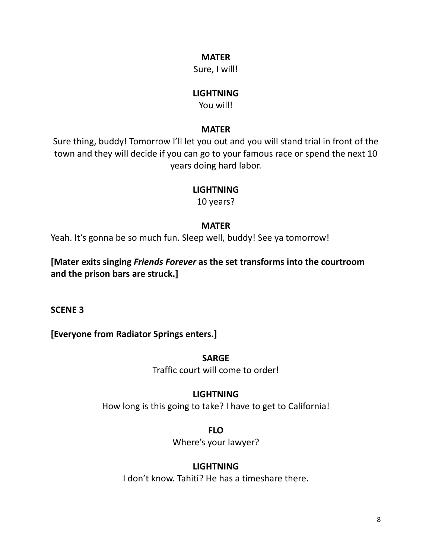#### **MATER**

Sure, I will!

#### **LIGHTNING**

You will!

#### **MATER**

Sure thing, buddy! Tomorrow I'll let you out and you will stand trial in front of the town and they will decide if you can go to your famous race or spend the next 10 years doing hard labor.

#### **LIGHTNING**

10 years?

## **MATER**

Yeah. It's gonna be so much fun. Sleep well, buddy! See ya tomorrow!

**[Mater exits singing** *Friends Forever* **as the set transforms into the courtroom and the prison bars are struck.]**

**SCENE 3**

**[Everyone from Radiator Springs enters.]**

#### **SARGE**

Traffic court will come to order!

# **LIGHTNING**

How long is this going to take? I have to get to California!

**FLO**

Where's your lawyer?

# **LIGHTNING**

I don't know. Tahiti? He has a timeshare there.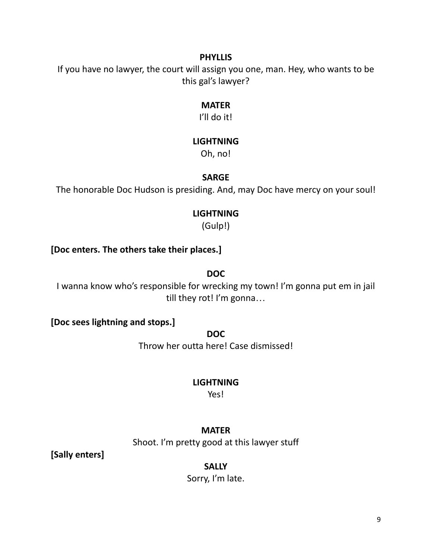#### **PHYLLIS**

If you have no lawyer, the court will assign you one, man. Hey, who wants to be this gal's lawyer?

#### **MATER**

I'll do it!

#### **LIGHTNING**

Oh, no!

#### **SARGE**

The honorable Doc Hudson is presiding. And, may Doc have mercy on your soul!

#### **LIGHTNING**

(Gulp!)

#### **[Doc enters. The others take their places.]**

**DOC**

I wanna know who's responsible for wrecking my town! I'm gonna put em in jail till they rot! I'm gonna…

**[Doc sees lightning and stops.]**

**DOC**

Throw her outta here! Case dismissed!

**LIGHTNING**

Yes!

# **MATER**

Shoot. I'm pretty good at this lawyer stuff

**[Sally enters]**

**SALLY**

Sorry, I'm late.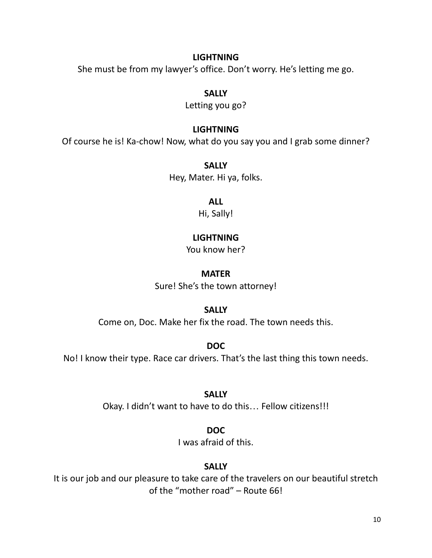#### **LIGHTNING**

She must be from my lawyer's office. Don't worry. He's letting me go.

#### **SALLY**

Letting you go?

#### **LIGHTNING**

Of course he is! Ka-chow! Now, what do you say you and I grab some dinner?

**SALLY** Hey, Mater. Hi ya, folks.

#### **ALL**

Hi, Sally!

## **LIGHTNING**

You know her?

#### **MATER**

Sure! She's the town attorney!

#### **SALLY**

Come on, Doc. Make her fix the road. The town needs this.

#### **DOC**

No! I know their type. Race car drivers. That's the last thing this town needs.

#### **SALLY**

Okay. I didn't want to have to do this… Fellow citizens!!!

**DOC**

I was afraid of this.

## **SALLY**

It is our job and our pleasure to take care of the travelers on our beautiful stretch of the "mother road" – Route 66!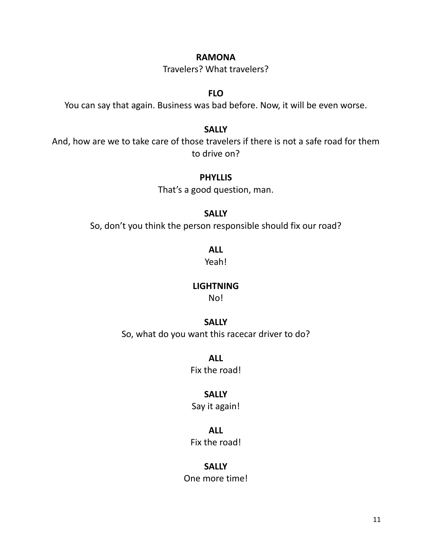#### **RAMONA**

Travelers? What travelers?

#### **FLO**

You can say that again. Business was bad before. Now, it will be even worse.

#### **SALLY**

And, how are we to take care of those travelers if there is not a safe road for them to drive on?

#### **PHYLLIS**

That's a good question, man.

#### **SALLY**

So, don't you think the person responsible should fix our road?

**ALL**

Yeah!

#### **LIGHTNING**

No!

#### **SALLY**

So, what do you want this racecar driver to do?

**ALL**

Fix the road!

#### **SALLY**

Say it again!

## **ALL**

Fix the road!

#### **SALLY**

One more time!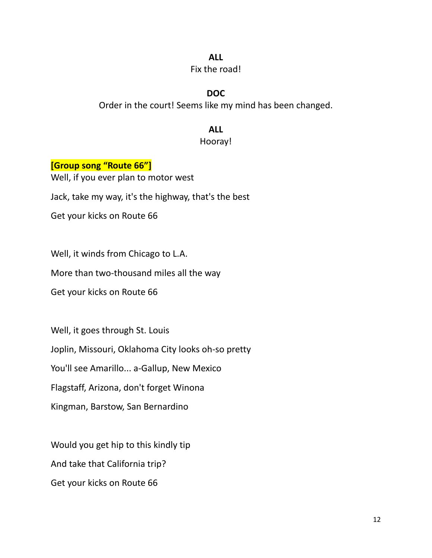#### **ALL**

#### Fix the road!

# **DOC**

Order in the court! Seems like my mind has been changed.

## **ALL**

## Hooray!

# **[Group song "Route 66"]**

Well, if you ever plan to motor west

Jack, take my way, it's the highway, that's the best

Get your kicks on Route 66

Well, it winds from Chicago to L.A.

More than two-thousand miles all the way

Get your kicks on Route 66

Well, it goes through St. Louis

Joplin, Missouri, Oklahoma City looks oh-so pretty

You'll see Amarillo... a-Gallup, New Mexico

Flagstaff, Arizona, don't forget Winona

Kingman, Barstow, San Bernardino

Would you get hip to this kindly tip And take that California trip? Get your kicks on Route 66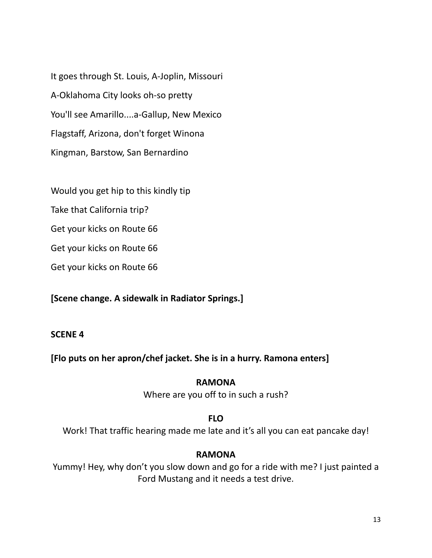It goes through St. Louis, A-Joplin, Missouri A-Oklahoma City looks oh-so pretty You'll see Amarillo....a-Gallup, New Mexico Flagstaff, Arizona, don't forget Winona Kingman, Barstow, San Bernardino

Would you get hip to this kindly tip Take that California trip? Get your kicks on Route 66 Get your kicks on Route 66 Get your kicks on Route 66

**[Scene change. A sidewalk in Radiator Springs.]**

#### **SCENE 4**

**[Flo puts on her apron/chef jacket. She is in a hurry. Ramona enters]**

#### **RAMONA**

Where are you off to in such a rush?

#### **FLO**

Work! That traffic hearing made me late and it's all you can eat pancake day!

#### **RAMONA**

Yummy! Hey, why don't you slow down and go for a ride with me? I just painted a Ford Mustang and it needs a test drive.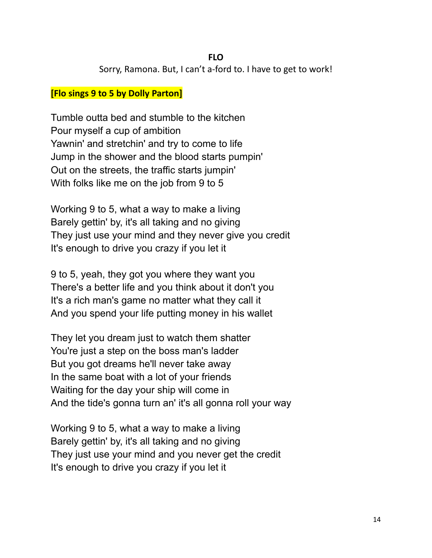#### **FLO**

Sorry, Ramona. But, I can't a-ford to. I have to get to work!

## **[Flo sings 9 to 5 by Dolly Parton]**

Tumble outta bed and [stumble](https://genius.com/5036227/Dolly-parton-9-to-5/Tumble-outta-bed-and-stumble-to-the-kitchen) to the kitchen Pour myself a cup of [ambition](https://genius.com/814327/Dolly-parton-9-to-5/Pour-myself-a-cup-of-ambition) Yawnin' and [stretchin'](https://genius.com/4386185/Dolly-parton-9-to-5/Yawnin-and-stretchin-and-try-to-come-to-life) and try to come to life Jump in the shower and the blood starts [pumpin'](https://genius.com/5036224/Dolly-parton-9-to-5/Jump-in-the-shower-and-the-blood-starts-pumpin) Out on the [streets,](https://genius.com/5036195/Dolly-parton-9-to-5/Out-on-the-streets-the-traffic-starts-jumpin-with-folks-like-me-on-the-job-from-9-to-5) the traffic starts jumpin' With [folks](https://genius.com/5036195/Dolly-parton-9-to-5/Out-on-the-streets-the-traffic-starts-jumpin-with-folks-like-me-on-the-job-from-9-to-5) like me on the job from 9 to 5

[Working](https://genius.com/5036191/Dolly-parton-9-to-5/Working-9-to-5-what-a-way-to-make-a-living) 9 to 5, what a way to make a living Barely gettin' by, it's all taking and no giving They just use your mind and they never give you credit It's enough to drive you crazy if you let it

9 to 5, yeah, they got you where they want you There's a better life and you think about it don't you It's a rich man's game no [matter](https://genius.com/5265333/Dolly-parton-9-to-5/Its-a-rich-mans-game-no-matter-what-they-call-it) what they call it And you spend your life [putting](https://genius.com/5265946/Dolly-parton-9-to-5/And-you-spend-your-life-putting-money-in-his-wallet) money in his wallet

They let you dream just to watch them [shatter](https://genius.com/5036232/Dolly-parton-9-to-5/They-let-you-dream-just-to-watch-them-shatter) [You're](https://genius.com/2588619/Dolly-parton-9-to-5/Youre-just-a-step-on-the-boss-mans-ladder) just a step on the boss man's ladder But you got dreams he'll never take away In the same boat with a lot of your friends [Waiting](https://genius.com/5264747/Dolly-parton-9-to-5/Waiting-for-the-day-your-ship-will-come-in-and-the-tides-gonna-turn-an-its-all-gonna-roll-your-way) for the day your ship will come in And the tide's gonna turn an' it's all [gonna](https://genius.com/5264747/Dolly-parton-9-to-5/Waiting-for-the-day-your-ship-will-come-in-and-the-tides-gonna-turn-an-its-all-gonna-roll-your-way) roll your way

[Working](https://genius.com/5036191/Dolly-parton-9-to-5/Working-9-to-5-what-a-way-to-make-a-living) 9 to 5, what a way to make a living Barely gettin' by, it's all taking and no giving They just use your mind and you never get the credit It's enough to drive you crazy if you let it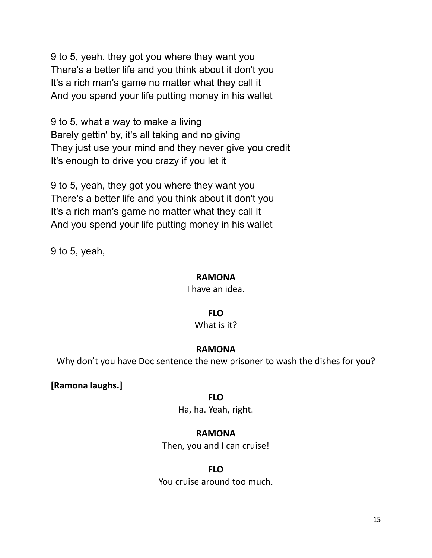9 to 5, yeah, they got you where they want you There's a better life and you think about it don't you It's a rich man's game no [matter](https://genius.com/5265333/Dolly-parton-9-to-5/Its-a-rich-mans-game-no-matter-what-they-call-it) what they call it And you spend your life [putting](https://genius.com/5265946/Dolly-parton-9-to-5/And-you-spend-your-life-putting-money-in-his-wallet) money in his wallet

9 to 5, what a way to [make](https://genius.com/5036191/Dolly-parton-9-to-5/Working-9-to-5-what-a-way-to-make-a-living) a living Barely gettin' by, it's all taking and no giving They just use your mind and they never give you credit It's enough to drive you crazy if you let it

9 to 5, yeah, they got you where they want you There's a better life and you think about it don't you It's a rich man's game no [matter](https://genius.com/5265333/Dolly-parton-9-to-5/Its-a-rich-mans-game-no-matter-what-they-call-it) what they call it And you spend your life [putting](https://genius.com/5265946/Dolly-parton-9-to-5/And-you-spend-your-life-putting-money-in-his-wallet) money in his wallet

9 to 5, yeah,

#### **RAMONA**

I have an idea.

# **FLO**

## What is it?

# **RAMONA**

Why don't you have Doc sentence the new prisoner to wash the dishes for you?

**[Ramona laughs.]**

## **FLO**

Ha, ha. Yeah, right.

# **RAMONA**

Then, you and I can cruise!

# **FLO**

You cruise around too much.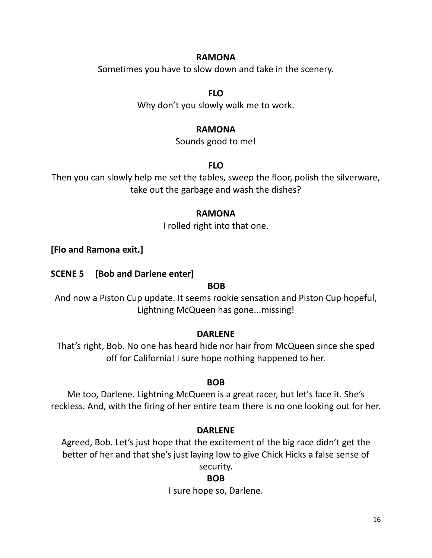#### **RAMONA**

Sometimes you have to slow down and take in the scenery.

#### **FLO**

Why don't you slowly walk me to work.

#### **RAMONA**

Sounds good to me!

#### **FLO**

Then you can slowly help me set the tables, sweep the floor, polish the silverware, take out the garbage and wash the dishes?

#### **RAMONA**

I rolled right into that one.

**[Flo and Ramona exit.]**

#### **SCENE 5 [Bob and Darlene enter]**

#### **BOB**

And now a Piston Cup update. It seems rookie sensation and Piston Cup hopeful, Lightning McQueen has gone...missing!

#### **DARLENE**

That's right, Bob. No one has heard hide nor hair from McQueen since she sped off for California! I sure hope nothing happened to her.

#### **BOB**

Me too, Darlene. Lightning McQueen is a great racer, but let's face it. She's reckless. And, with the firing of her entire team there is no one looking out for her.

#### **DARLENE**

Agreed, Bob. Let's just hope that the excitement of the big race didn't get the better of her and that she's just laying low to give Chick Hicks a false sense of security.

#### **BOB**

I sure hope so, Darlene.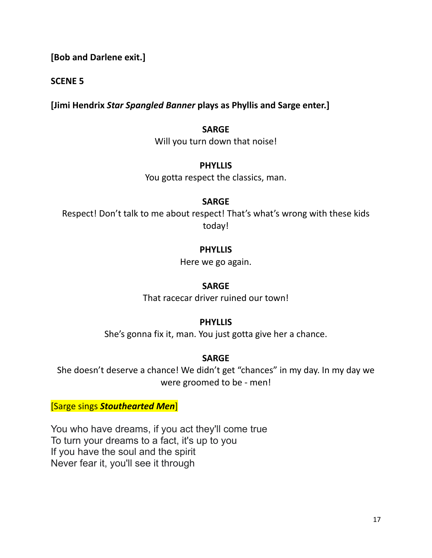**[Bob and Darlene exit.]**

**SCENE 5**

**[Jimi Hendrix** *Star Spangled Banner* **plays as Phyllis and Sarge enter.]**

## **SARGE**

Will you turn down that noise!

# **PHYLLIS**

You gotta respect the classics, man.

# **SARGE**

Respect! Don't talk to me about respect! That's what's wrong with these kids today!

# **PHYLLIS**

Here we go again.

# **SARGE**

That racecar driver ruined our town!

# **PHYLLIS**

She's gonna fix it, man. You just gotta give her a chance.

# **SARGE**

She doesn't deserve a chance! We didn't get "chances" in my day. In my day we were groomed to be - men!

[Sarge sings *Stouthearted Men*]

You who have dreams, if you act they'll come true To turn your dreams to a fact, it's up to you If you have the soul and the spirit Never fear it, you'll see it through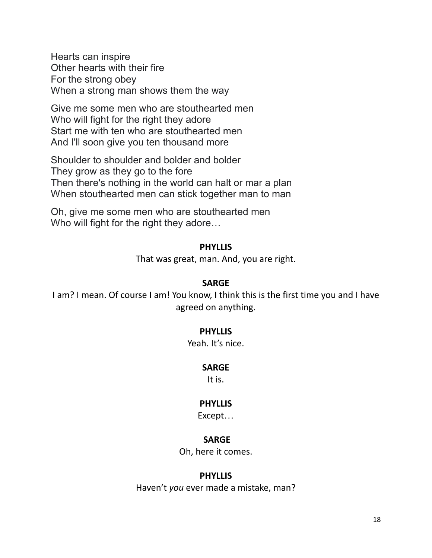Hearts can inspire Other hearts with their fire For the strong obey When a strong man shows them the way

Give me some men who are stouthearted men Who will fight for the right they adore Start me with ten who are stouthearted men And I'll soon give you ten thousand more

Shoulder to shoulder and bolder and bolder They grow as they go to the fore Then there's nothing in the world can halt or mar a plan When stouthearted men can stick together man to man

Oh, give me some men who are stouthearted men Who will fight for the right they adore…

#### **PHYLLIS**

That was great, man. And, you are right.

#### **SARGE**

I am? I mean. Of course I am! You know, I think this is the first time you and I have agreed on anything.

## **PHYLLIS**

Yeah. It's nice.

#### **SARGE**

It is.

#### **PHYLLIS**

Except…

## **SARGE**

Oh, here it comes.

## **PHYLLIS**

Haven't *you* ever made a mistake, man?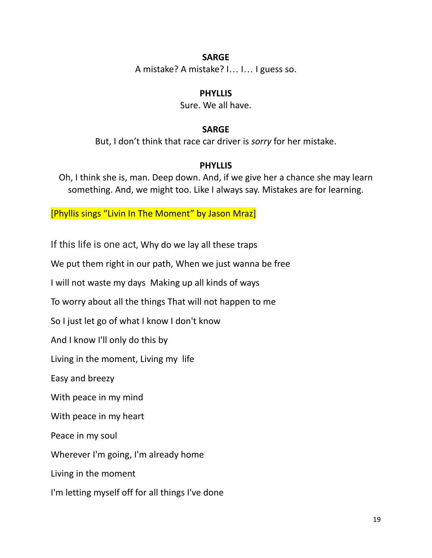#### **SARGE**

A mistake? A mistake? I… I… I guess so.

#### **PHYLLIS**

Sure. We all have.

#### **SARGE**

But, I don't think that race car driver is *sorry* for her mistake.

# **PHYLLIS**

Oh, I think she is, man. Deep down. And, if we give her a chance she may learn something. And, we might too. Like I always say. Mistakes are for learning.

[Phyllis sings "Livin In The Moment" by Jason Mraz]

If this life is one act, Why do we lay all these traps

We put them right in our path, When we just wanna be free

I will not waste my days Making up all kinds of ways

To worry about all the things That will not happen to me

So I just let go of what I know I don't know

And I know I'll only do this by

Living in the moment, Living my life

Easy and breezy

With peace in my mind

With peace in my heart

Peace in my soul

Wherever I'm going, I'm already home

Living in the moment

I'm letting myself off for all things I've done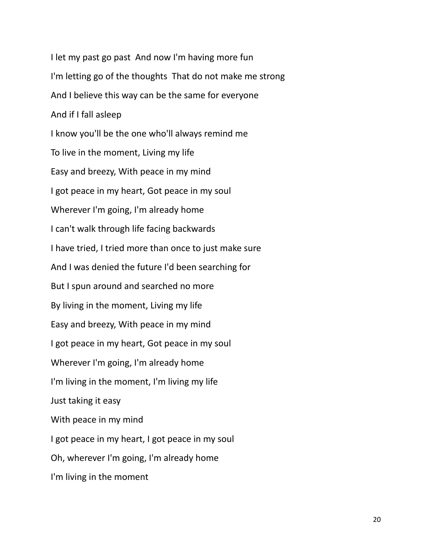I let my past go past And now I'm having more fun I'm letting go of the thoughts That do not make me strong And I believe this way can be the same for everyone And if I fall asleep I know you'll be the one who'll always remind me To live in the moment, Living my life Easy and breezy, With peace in my mind I got peace in my heart, Got peace in my soul Wherever I'm going, I'm already home I can't walk through life facing backwards I have tried, I tried more than once to just make sure And I was denied the future I'd been searching for But I spun around and searched no more By living in the moment, Living my life Easy and breezy, With peace in my mind I got peace in my heart, Got peace in my soul Wherever I'm going, I'm already home I'm living in the moment, I'm living my life Just taking it easy With peace in my mind I got peace in my heart, I got peace in my soul Oh, wherever I'm going, I'm already home I'm living in the moment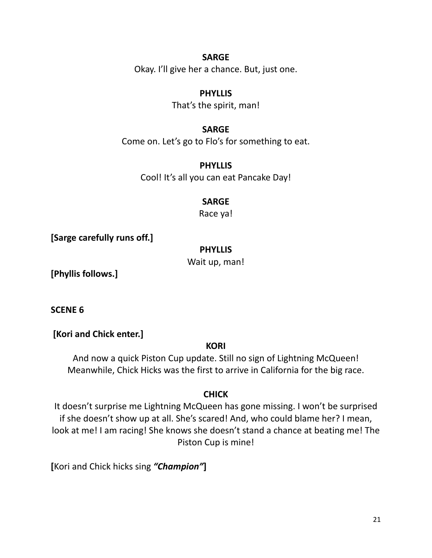#### **SARGE**

Okay. I'll give her a chance. But, just one.

#### **PHYLLIS**

That's the spirit, man!

## **SARGE**

Come on. Let's go to Flo's for something to eat.

#### **PHYLLIS**

Cool! It's all you can eat Pancake Day!

## **SARGE**

Race ya!

**[Sarge carefully runs off.]**

#### **PHYLLIS**

Wait up, man!

**[Phyllis follows.]**

**SCENE 6**

# **[Kori and Chick enter.]**

## **KORI**

And now a quick Piston Cup update. Still no sign of Lightning McQueen! Meanwhile, Chick Hicks was the first to arrive in California for the big race.

# **CHICK**

It doesn't surprise me Lightning McQueen has gone missing. I won't be surprised if she doesn't show up at all. She's scared! And, who could blame her? I mean, look at me! I am racing! She knows she doesn't stand a chance at beating me! The Piston Cup is mine!

**[**Kori and Chick hicks sing *"Champion"***]**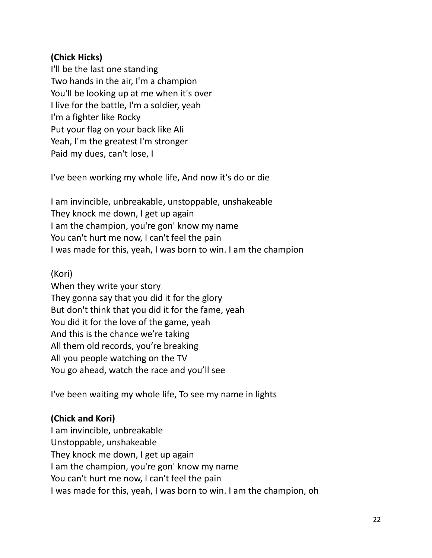## **(Chick Hicks)**

I'll be the last one standing Two hands in the air, I'm a champion You'll be looking up at me when it's over I live for the battle, I'm a soldier, yeah I'm a fighter like Rocky Put your flag on your back like Ali Yeah, I'm the greatest I'm stronger Paid my dues, can't lose, I

I've been working my whole life, And now it's do or die

I am invincible, unbreakable, unstoppable, unshakeable They knock me down, I get up again I am the champion, you're gon' know my name You can't hurt me now, I can't feel the pain I was made for this, yeah, I was born to win. I am the champion

#### (Kori)

When they write your story They gonna say that you did it for the glory But don't think that you did it for the fame, yeah You did it for the love of the game, yeah And this is the chance we're taking All them old records, you're breaking All you people watching on the TV You go ahead, watch the race and you'll see

I've been waiting my whole life, To see my name in lights

## **(Chick and Kori)**

I am invincible, unbreakable Unstoppable, unshakeable They knock me down, I get up again I am the champion, you're gon' know my name You can't hurt me now, I can't feel the pain I was made for this, yeah, I was born to win. I am the champion, oh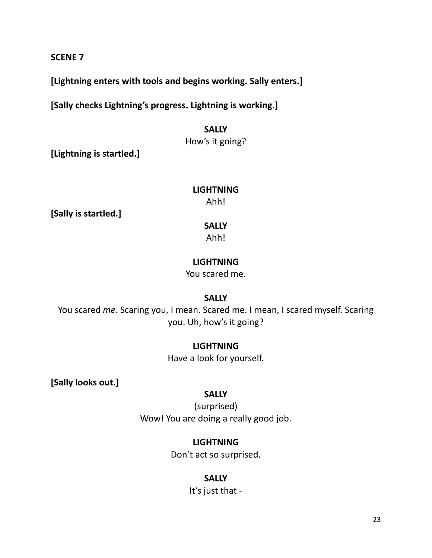**SCENE 7**

**[Lightning enters with tools and begins working. Sally enters.]**

**[Sally checks Lightning's progress. Lightning is working.]**

**SALLY**

How's it going?

**[Lightning is startled.]**

#### **LIGHTNING**

Ahh!

**[Sally is startled.]**

#### **SALLY**

Ahh!

#### **LIGHTNING**

You scared me.

## **SALLY**

You scared *me.* Scaring you, I mean. Scared me. I mean, I scared myself. Scaring you. Uh, how's it going?

## **LIGHTNING**

Have a look for yourself.

**[Sally looks out.]**

## **SALLY**

(surprised) Wow! You are doing a really good job.

## **LIGHTNING**

Don't act so surprised.

## **SALLY**

It's just that -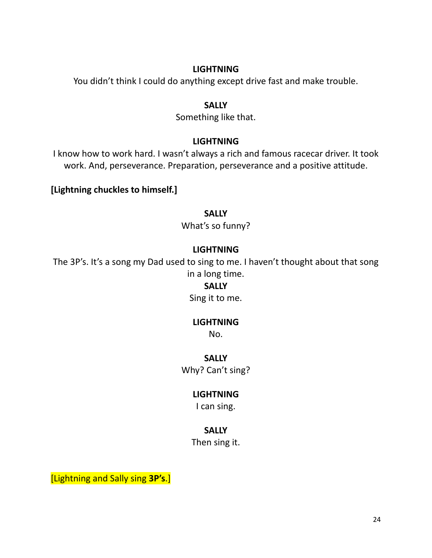#### **LIGHTNING**

You didn't think I could do anything except drive fast and make trouble.

## **SALLY**

Something like that.

# **LIGHTNING**

I know how to work hard. I wasn't always a rich and famous racecar driver. It took work. And, perseverance. Preparation, perseverance and a positive attitude.

**[Lightning chuckles to himself.]**

#### **SALLY**

What's so funny?

## **LIGHTNING**

The 3P's. It's a song my Dad used to sing to me. I haven't thought about that song in a long time.

## **SALLY**

Sing it to me.

## **LIGHTNING**

No.

**SALLY** Why? Can't sing?

## **LIGHTNING**

I can sing.

# **SALLY**

Then sing it.

[Lightning and Sally sing **3P's**.]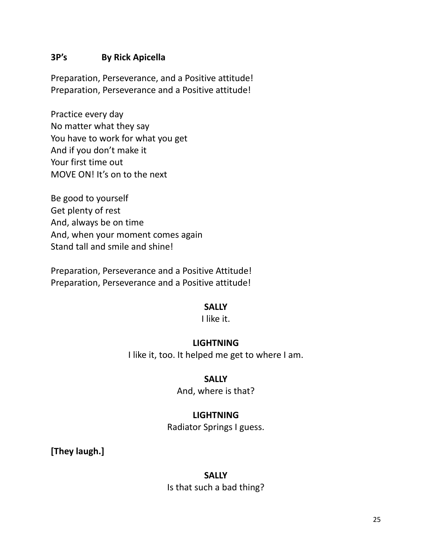#### **3P's By Rick Apicella**

Preparation, Perseverance, and a Positive attitude! Preparation, Perseverance and a Positive attitude!

Practice every day No matter what they say You have to work for what you get And if you don't make it Your first time out MOVE ON! It's on to the next

Be good to yourself Get plenty of rest And, always be on time And, when your moment comes again Stand tall and smile and shine!

Preparation, Perseverance and a Positive Attitude! Preparation, Perseverance and a Positive attitude!

#### **SALLY**

I like it.

#### **LIGHTNING**

I like it, too. It helped me get to where I am.

#### **SALLY**

And, where is that?

#### **LIGHTNING**

Radiator Springs I guess.

**[They laugh.]**

#### **SALLY**

Is that such a bad thing?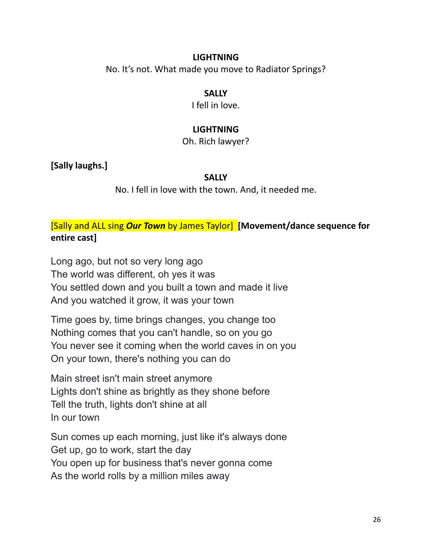#### **LIGHTNING**

No. It's not. What made you move to Radiator Springs?

## **SALLY**

I fell in love.

# **LIGHTNING**

Oh. Rich lawyer?

**[Sally laughs.]**

## **SALLY**

No. I fell in love with the town. And, it needed me.

[Sally and ALL sing *Our Town* by James Taylor] **[Movement/dance sequence for entire cast]**

Long ago, but not so very long ago The world was different, oh yes it was You settled down and you built a town and made it live And you watched it grow, it was your town

Time goes by, time brings changes, you change too Nothing comes that you can't handle, so on you go You never see it coming when the world caves in on you On your town, there's nothing you can do

Main street isn't main street anymore Lights don't shine as brightly as they shone before Tell the truth, lights don't shine at all In our town

Sun comes up each morning, just like it's always done Get up, go to work, start the day You open up for business that's never gonna come As the world rolls by a million miles away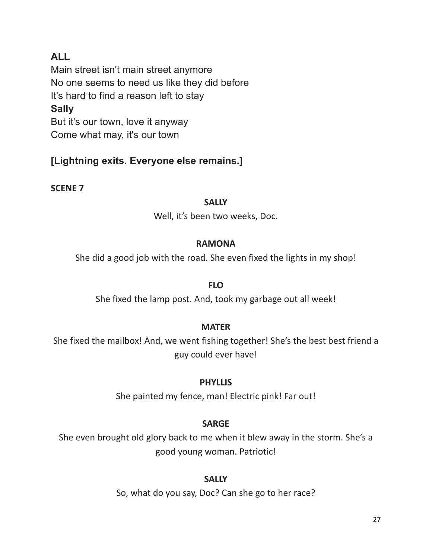# **ALL**

Main street isn't main street anymore No one seems to need us like they did before It's hard to find a reason left to stay **Sally** But it's our town, love it anyway Come what may, it's our town

# **[Lightning exits. Everyone else remains.]**

**SCENE 7**

## **SALLY**

Well, it's been two weeks, Doc.

## **RAMONA**

She did a good job with the road. She even fixed the lights in my shop!

**FLO**

She fixed the lamp post. And, took my garbage out all week!

# **MATER**

She fixed the mailbox! And, we went fishing together! She's the best best friend a guy could ever have!

# **PHYLLIS**

She painted my fence, man! Electric pink! Far out!

# **SARGE**

She even brought old glory back to me when it blew away in the storm. She's a good young woman. Patriotic!

## **SALLY**

So, what do you say, Doc? Can she go to her race?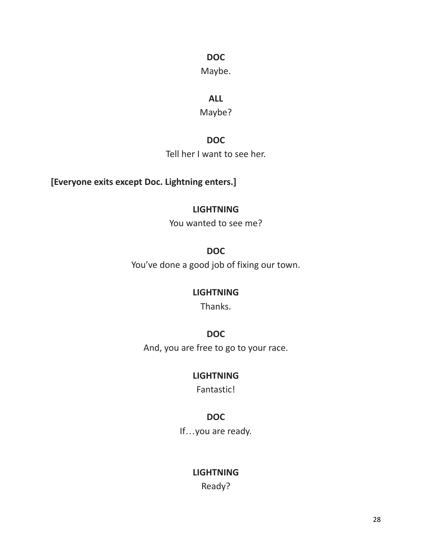#### **DOC**

Maybe.

## **ALL**

Maybe?

# **DOC**

Tell her I want to see her.

**[Everyone exits except Doc. Lightning enters.]**

# **LIGHTNING**

You wanted to see me?

# **DOC**

You've done a good job of fixing our town.

# **LIGHTNING**

Thanks.

# **DOC**

And, you are free to go to your race.

# **LIGHTNING**

Fantastic!

# **DOC**

If…you are ready.

# **LIGHTNING**

Ready?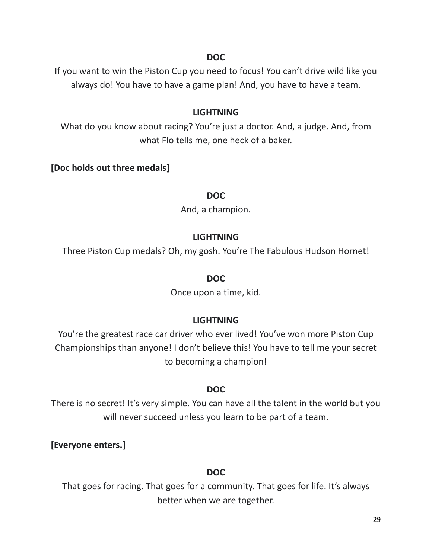## **DOC**

If you want to win the Piston Cup you need to focus! You can't drive wild like you always do! You have to have a game plan! And, you have to have a team.

## **LIGHTNING**

What do you know about racing? You're just a doctor. And, a judge. And, from what Flo tells me, one heck of a baker.

**[Doc holds out three medals]**

**DOC**

And, a champion.

# **LIGHTNING**

Three Piston Cup medals? Oh, my gosh. You're The Fabulous Hudson Hornet!

## **DOC**

Once upon a time, kid.

# **LIGHTNING**

You're the greatest race car driver who ever lived! You've won more Piston Cup Championships than anyone! I don't believe this! You have to tell me your secret to becoming a champion!

# **DOC**

There is no secret! It's very simple. You can have all the talent in the world but you will never succeed unless you learn to be part of a team.

**[Everyone enters.]**

## **DOC**

That goes for racing. That goes for a community. That goes for life. It's always better when we are together.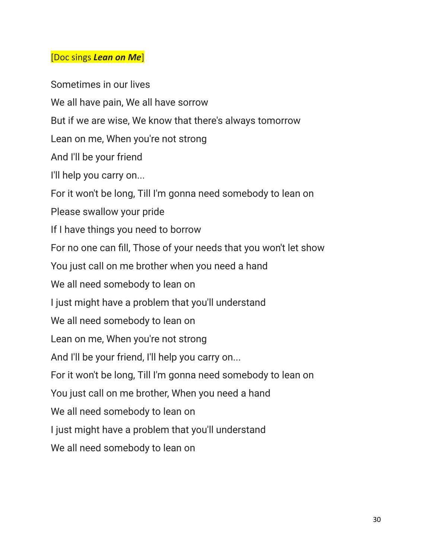## [Doc sings *Lean on Me*]

Sometimes in our lives We all have pain, We all have sorrow But if we are wise, We know that there's always tomorrow Lean on me, When you're not strong And I'll be your friend I'll help you carry on... For it won't be long, Till I'm gonna need somebody to lean on Please swallow your pride If I have things you need to borrow For no one can fill, Those of your needs that you won't let show You just call on me brother when you need a hand We all need somebody to lean on I just might have a problem that you'll understand We all need somebody to lean on Lean on me, When you're not strong And I'll be your friend, I'll help you carry on... For it won't be long, Till I'm gonna need somebody to lean on You just call on me brother, When you need a hand We all need somebody to lean on I just might have a problem that you'll understand We all need somebody to lean on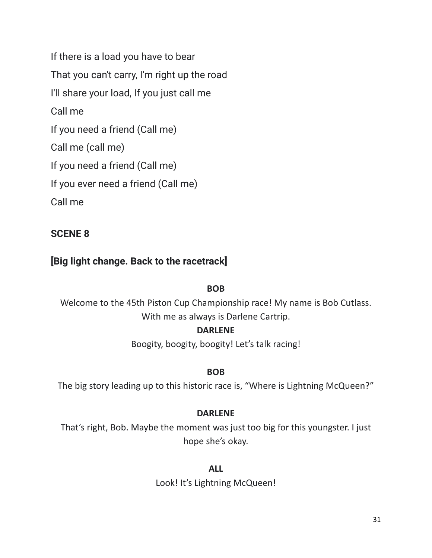If there is a load you have to bear That you can't carry, I'm right up the road I'll share your load, If you just call me Call me If you need a friend (Call me) Call me (call me) If you need a friend (Call me) If you ever need a friend (Call me) Call me

# **SCENE 8**

# **[Big light change. Back to the racetrack]**

## **BOB**

Welcome to the 45th Piston Cup Championship race! My name is Bob Cutlass. With me as always is Darlene Cartrip.

## **DARLENE**

Boogity, boogity, boogity! Let's talk racing!

# **BOB**

The big story leading up to this historic race is, "Where is Lightning McQueen?"

## **DARLENE**

That's right, Bob. Maybe the moment was just too big for this youngster. I just hope she's okay.

## **ALL**

Look! It's Lightning McQueen!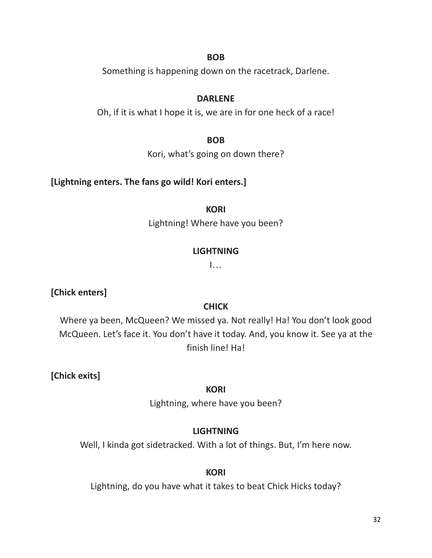#### **BOB**

Something is happening down on the racetrack, Darlene.

#### **DARLENE**

Oh, if it is what I hope it is, we are in for one heck of a race!

#### **BOB**

Kori, what's going on down there?

#### **[Lightning enters. The fans go wild! Kori enters.]**

#### **KORI**

Lightning! Where have you been?

#### **LIGHTNING**

I…

## **[Chick enters]**

## **CHICK**

Where ya been, McQueen? We missed ya. Not really! Ha! You don't look good McQueen. Let's face it. You don't have it today. And, you know it. See ya at the finish line! Ha!

**[Chick exits]**

#### **KORI**

Lightning, where have you been?

## **LIGHTNING**

Well, I kinda got sidetracked. With a lot of things. But, I'm here now.

#### **KORI**

Lightning, do you have what it takes to beat Chick Hicks today?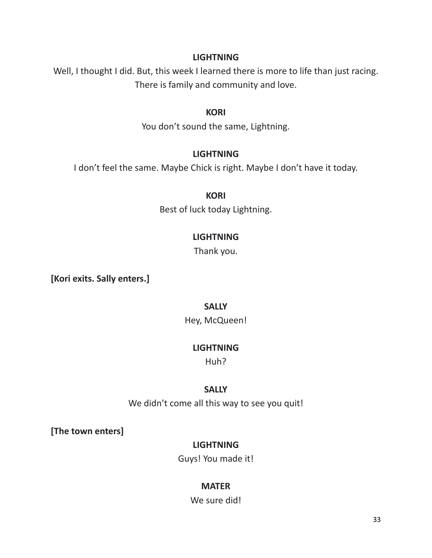#### **LIGHTNING**

Well, I thought I did. But, this week I learned there is more to life than just racing. There is family and community and love.

#### **KORI**

You don't sound the same, Lightning.

## **LIGHTNING**

I don't feel the same. Maybe Chick is right. Maybe I don't have it today.

#### **KORI**

Best of luck today Lightning.

# **LIGHTNING**

Thank you.

**[Kori exits. Sally enters.]**

#### **SALLY**

Hey, McQueen!

## **LIGHTNING**

Huh?

## **SALLY**

We didn't come all this way to see you quit!

**[The town enters]**

# **LIGHTNING**

Guys! You made it!

## **MATER**

We sure did!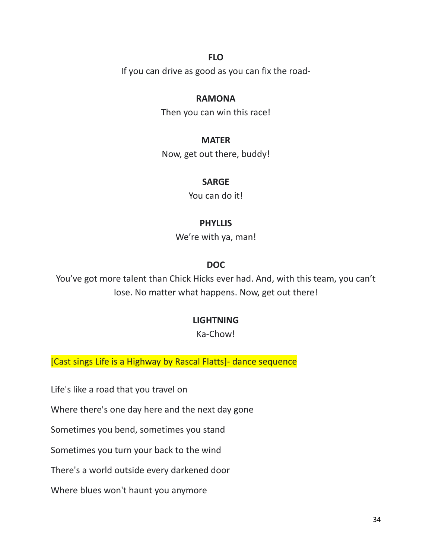**FLO** If you can drive as good as you can fix the road-

#### **RAMONA**

Then you can win this race!

#### **MATER**

Now, get out there, buddy!

#### **SARGE**

You can do it!

#### **PHYLLIS**

We're with ya, man!

#### **DOC**

You've got more talent than Chick Hicks ever had. And, with this team, you can't lose. No matter what happens. Now, get out there!

#### **LIGHTNING**

Ka-Chow!

[Cast sings Life is a Highway by Rascal Flatts]- dance sequence

Life's like a road that you travel on

Where there's one day here and the next day gone

Sometimes you bend, sometimes you stand

Sometimes you turn your back to the wind

There's a world outside every darkened door

Where blues won't haunt you anymore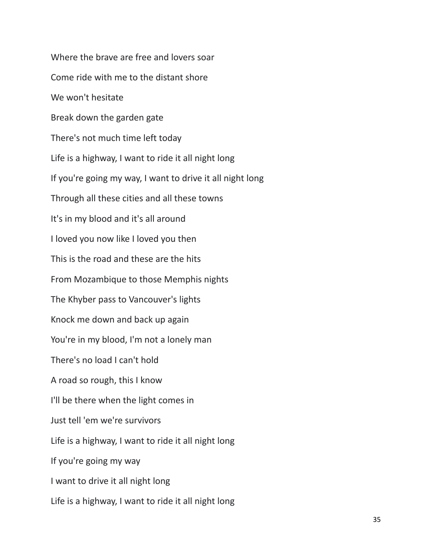Where the brave are free and lovers soar Come ride with me to the distant shore We won't hesitate Break down the garden gate There's not much time left today Life is a highway, I want to ride it all night long If you're going my way, I want to drive it all night long Through all these cities and all these towns It's in my blood and it's all around I loved you now like I loved you then This is the road and these are the hits From Mozambique to those Memphis nights The Khyber pass to Vancouver's lights Knock me down and back up again You're in my blood, I'm not a lonely man There's no load I can't hold A road so rough, this I know I'll be there when the light comes in Just tell 'em we're survivors Life is a highway, I want to ride it all night long If you're going my way I want to drive it all night long Life is a highway, I want to ride it all night long